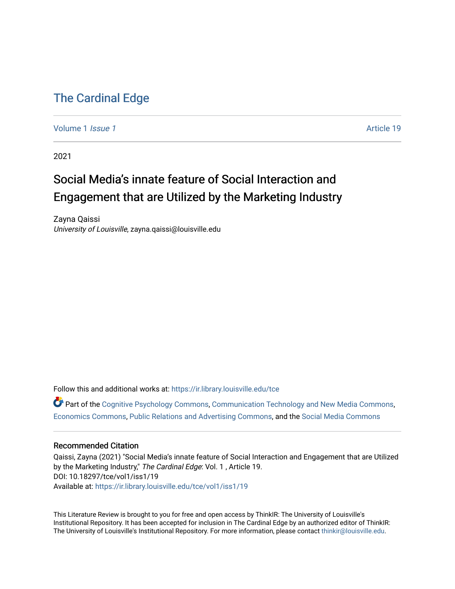# [The Cardinal Edge](https://ir.library.louisville.edu/tce)

[Volume 1](https://ir.library.louisville.edu/tce/vol1) *Issue 1* Article 19

2021

# Social Media's innate feature of Social Interaction and Engagement that are Utilized by the Marketing Industry

Zayna Qaissi University of Louisville, zayna.qaissi@louisville.edu

Follow this and additional works at: [https://ir.library.louisville.edu/tce](https://ir.library.louisville.edu/tce?utm_source=ir.library.louisville.edu%2Ftce%2Fvol1%2Fiss1%2F19&utm_medium=PDF&utm_campaign=PDFCoverPages)

Part of the [Cognitive Psychology Commons,](http://network.bepress.com/hgg/discipline/408?utm_source=ir.library.louisville.edu%2Ftce%2Fvol1%2Fiss1%2F19&utm_medium=PDF&utm_campaign=PDFCoverPages) [Communication Technology and New Media Commons,](http://network.bepress.com/hgg/discipline/327?utm_source=ir.library.louisville.edu%2Ftce%2Fvol1%2Fiss1%2F19&utm_medium=PDF&utm_campaign=PDFCoverPages) [Economics Commons,](http://network.bepress.com/hgg/discipline/340?utm_source=ir.library.louisville.edu%2Ftce%2Fvol1%2Fiss1%2F19&utm_medium=PDF&utm_campaign=PDFCoverPages) [Public Relations and Advertising Commons](http://network.bepress.com/hgg/discipline/336?utm_source=ir.library.louisville.edu%2Ftce%2Fvol1%2Fiss1%2F19&utm_medium=PDF&utm_campaign=PDFCoverPages), and the [Social Media Commons](http://network.bepress.com/hgg/discipline/1249?utm_source=ir.library.louisville.edu%2Ftce%2Fvol1%2Fiss1%2F19&utm_medium=PDF&utm_campaign=PDFCoverPages) 

### Recommended Citation

Qaissi, Zayna (2021) "Social Media's innate feature of Social Interaction and Engagement that are Utilized by the Marketing Industry," The Cardinal Edge: Vol. 1 , Article 19. DOI: 10.18297/tce/vol1/iss1/19 Available at: [https://ir.library.louisville.edu/tce/vol1/iss1/19](https://ir.library.louisville.edu/tce/vol1/iss1/19?utm_source=ir.library.louisville.edu%2Ftce%2Fvol1%2Fiss1%2F19&utm_medium=PDF&utm_campaign=PDFCoverPages) 

This Literature Review is brought to you for free and open access by ThinkIR: The University of Louisville's Institutional Repository. It has been accepted for inclusion in The Cardinal Edge by an authorized editor of ThinkIR: The University of Louisville's Institutional Repository. For more information, please contact [thinkir@louisville.edu.](mailto:thinkir@louisville.edu)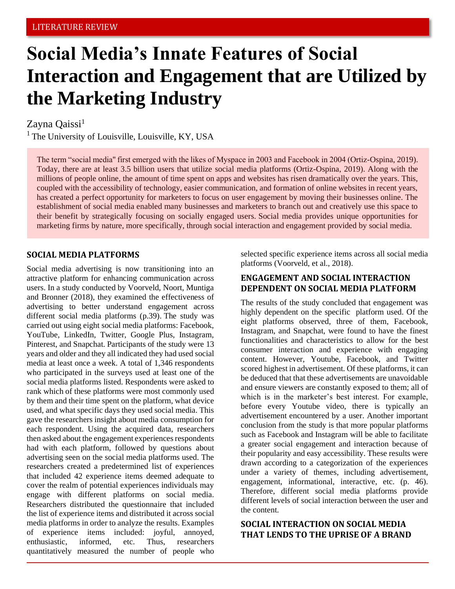# **Social Media's Innate Features of Social Interaction and Engagement that are Utilized by the Marketing Industry**

# Zayna Qaissi<sup>1</sup>

 $<sup>1</sup>$  The University of Louisville, Louisville, KY, USA</sup>

The term "social media'' first emerged with the likes of Myspace in 2003 and Facebook in 2004 (Ortiz-Ospina, 2019). Today, there are at least 3.5 billion users that utilize social media platforms (Ortiz-Ospina, 2019). Along with the millions of people online, the amount of time spent on apps and websites has risen dramatically over the years. This, coupled with the accessibility of technology, easier communication, and formation of online websites in recent years, has created a perfect opportunity for marketers to focus on user engagement by moving their businesses online. The establishment of social media enabled many businesses and marketers to branch out and creatively use this space to their benefit by strategically focusing on socially engaged users. Social media provides unique opportunities for marketing firms by nature, more specifically, through social interaction and engagement provided by social media.

## **SOCIAL MEDIA PLATFORMS**

Social media advertising is now transitioning into an attractive platform for enhancing communication across users. In a study conducted by Voorveld, Noort, Muntiga and Bronner (2018), they examined the effectiveness of advertising to better understand engagement across different social media platforms (p.39). The study was carried out using eight social media platforms: Facebook, YouTube, LinkedIn, Twitter, Google Plus, Instagram, Pinterest, and Snapchat. Participants of the study were 13 years and older and they all indicated they had used social media at least once a week. A total of 1,346 respondents who participated in the surveys used at least one of the social media platforms listed. Respondents were asked to rank which of these platforms were most commonly used by them and their time spent on the platform, what device used, and what specific days they used social media. This gave the researchers insight about media consumption for each respondent. Using the acquired data, researchers then asked about the engagement experiences respondents had with each platform, followed by questions about advertising seen on the social media platforms used. The researchers created a predetermined list of experiences that included 42 experience items deemed adequate to cover the realm of potential experiences individuals may engage with different platforms on social media. Researchers distributed the questionnaire that included the list of experience items and distributed it across social media platforms in order to analyze the results. Examples of experience items included: joyful, annoyed, enthusiastic, informed, etc. Thus, researchers quantitatively measured the number of people who selected specific experience items across all social media platforms (Voorveld, et al., 2018).

# **ENGAGEMENT AND SOCIAL INTERACTION DEPENDENT ON SOCIAL MEDIA PLATFORM**

The results of the study concluded that engagement was highly dependent on the specific platform used. Of the eight platforms observed, three of them, Facebook, Instagram, and Snapchat, were found to have the finest functionalities and characteristics to allow for the best consumer interaction and experience with engaging content. However, Youtube, Facebook, and Twitter scored highest in advertisement. Of these platforms, it can be deduced that that these advertisements are unavoidable and ensure viewers are constantly exposed to them; all of which is in the marketer's best interest. For example, before every Youtube video, there is typically an advertisement encountered by a user. Another important conclusion from the study is that more popular platforms such as Facebook and Instagram will be able to facilitate a greater social engagement and interaction because of their popularity and easy accessibility. These results were drawn according to a categorization of the experiences under a variety of themes, including advertisement, engagement, informational, interactive, etc. (p. 46). Therefore, different social media platforms provide different levels of social interaction between the user and the content.

# **SOCIAL INTERACTION ON SOCIAL MEDIA THAT LENDS TO THE UPRISE OF A BRAND**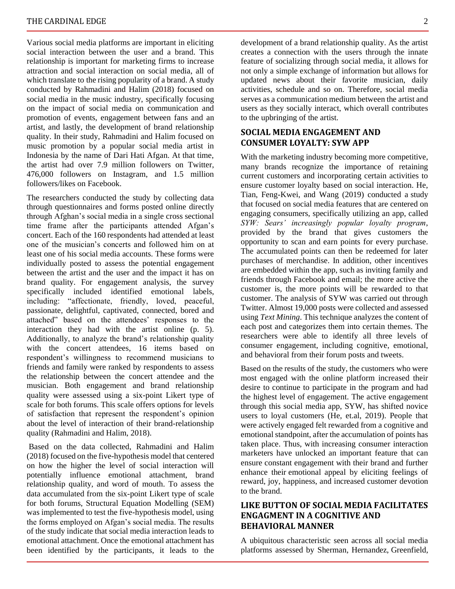Various social media platforms are important in eliciting social interaction between the user and a brand. This relationship is important for marketing firms to increase attraction and social interaction on social media, all of which translate to the rising popularity of a brand. A study conducted by Rahmadini and Halim (2018) focused on social media in the music industry, specifically focusing on the impact of social media on communication and promotion of events, engagement between fans and an artist, and lastly, the development of brand relationship quality. In their study, Rahmadini and Halim focused on music promotion by a popular social media artist in Indonesia by the name of Dari Hati Afgan. At that time, the artist had over 7.9 million followers on Twitter, 476,000 followers on Instagram, and 1.5 million followers/likes on Facebook.

The researchers conducted the study by collecting data through questionnaires and forms posted online directly through Afghan's social media in a single cross sectional time frame after the participants attended Afgan's concert. Each of the 160 respondents had attended at least one of the musician's concerts and followed him on at least one of his social media accounts. These forms were individually posted to assess the potential engagement between the artist and the user and the impact it has on brand quality. For engagement analysis, the survey specifically included identified emotional labels, including: "affectionate, friendly, loved, peaceful, passionate, delightful, captivated, connected, bored and attached" based on the attendees' responses to the interaction they had with the artist online (p. 5). Additionally, to analyze the brand's relationship quality with the concert attendees, 16 items based on respondent's willingness to recommend musicians to friends and family were ranked by respondents to assess the relationship between the concert attendee and the musician. Both engagement and brand relationship quality were assessed using a six-point Likert type of scale for both forums. This scale offers options for levels of satisfaction that represent the respondent's opinion about the level of interaction of their brand-relationship quality (Rahmadini and Halim, 2018).

Based on the data collected, Rahmadini and Halim (2018) focused on the five-hypothesis model that centered on how the higher the level of social interaction will potentially influence emotional attachment, brand relationship quality, and word of mouth. To assess the data accumulated from the six-point Likert type of scale for both forums, Structural Equation Modelling (SEM) was implemented to test the five-hypothesis model, using the forms employed on Afgan's social media. The results of the study indicate that social media interaction leads to emotional attachment. Once the emotional attachment has been identified by the participants, it leads to the

development of a brand relationship quality. As the artist creates a connection with the users through the innate feature of socializing through social media, it allows for not only a simple exchange of information but allows for updated news about their favorite musician, daily activities, schedule and so on. Therefore, social media serves as a communication medium between the artist and users as they socially interact, which overall contributes to the upbringing of the artist.

# **SOCIAL MEDIA ENGAGEMENT AND CONSUMER LOYALTY: SYW APP**

With the marketing industry becoming more competitive, many brands recognize the importance of retaining current customers and incorporating certain activities to ensure customer loyalty based on social interaction. He, Tian, Feng-Kwei, and Wang (2019) conducted a study that focused on social media features that are centered on engaging consumers, specifically utilizing an app, called *SYW: Sears' increasingly popular loyalty program*, provided by the brand that gives customers the opportunity to scan and earn points for every purchase. The accumulated points can then be redeemed for later purchases of merchandise. In addition, other incentives are embedded within the app, such as inviting family and friends through Facebook and email; the more active the customer is, the more points will be rewarded to that customer. The analysis of SYW was carried out through Twitter. Almost 19,000 posts were collected and assessed using *Text Mining*. This technique analyzes the content of each post and categorizes them into certain themes. The researchers were able to identify all three levels of consumer engagement, including cognitive, emotional, and behavioral from their forum posts and tweets.

Based on the results of the study, the customers who were most engaged with the online platform increased their desire to continue to participate in the program and had the highest level of engagement. The active engagement through this social media app, SYW, has shifted novice users to loyal customers (He, et.al, 2019). People that were actively engaged felt rewarded from a cognitive and emotional standpoint, after the accumulation of points has taken place. Thus, with increasing consumer interaction marketers have unlocked an important feature that can ensure constant engagement with their brand and further enhance their emotional appeal by eliciting feelings of reward, joy, happiness, and increased customer devotion to the brand.

## **LIKE BUTTON OF SOCIAL MEDIA FACILITATES ENGAGMENT IN A COGNITIVE AND BEHAVIORAL MANNER**

A ubiquitous characteristic seen across all social media platforms assessed by Sherman, Hernandez, Greenfield,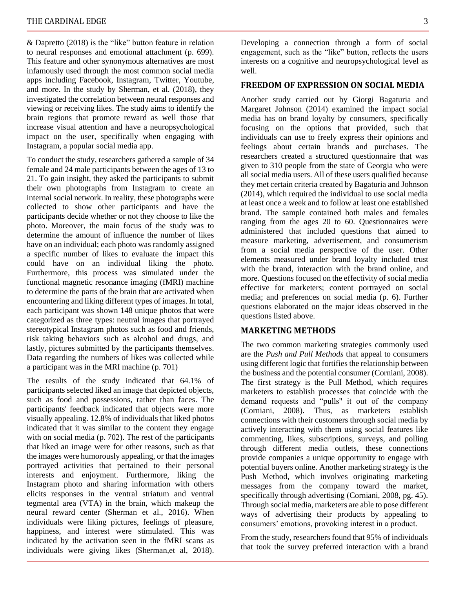& Dapretto (2018) is the "like" button feature in relation to neural responses and emotional attachment (p. 699). This feature and other synonymous alternatives are most infamously used through the most common social media apps including Facebook, Instagram, Twitter, Youtube, and more. In the study by Sherman, et al. (2018), they investigated the correlation between neural responses and viewing or receiving likes. The study aims to identify the brain regions that promote reward as well those that increase visual attention and have a neuropsychological impact on the user, specifically when engaging with Instagram, a popular social media app.

To conduct the study, researchers gathered a sample of 34 female and 24 male participants between the ages of 13 to 21. To gain insight, they asked the participants to submit their own photographs from Instagram to create an internal social network. In reality, these photographs were collected to show other participants and have the participants decide whether or not they choose to like the photo. Moreover, the main focus of the study was to determine the amount of influence the number of likes have on an individual; each photo was randomly assigned a specific number of likes to evaluate the impact this could have on an individual liking the photo. Furthermore, this process was simulated under the functional magnetic resonance imaging (fMRI) machine to determine the parts of the brain that are activated when encountering and liking different types of images. In total, each participant was shown 148 unique photos that were categorized as three types: neutral images that portrayed stereotypical Instagram photos such as food and friends, risk taking behaviors such as alcohol and drugs, and lastly, pictures submitted by the participants themselves. Data regarding the numbers of likes was collected while a participant was in the MRI machine (p. 701)

The results of the study indicated that 64.1% of participants selected liked an image that depicted objects, such as food and possessions, rather than faces. The participants' feedback indicated that objects were more visually appealing. 12.8% of individuals that liked photos indicated that it was similar to the content they engage with on social media (p. 702). The rest of the participants that liked an image were for other reasons, such as that the images were humorously appealing, or that the images portrayed activities that pertained to their personal interests and enjoyment. Furthermore, liking the Instagram photo and sharing information with others elicits responses in the ventral striatum and ventral tegmental area (VTA) in the brain, which makeup the neural reward center (Sherman et al., 2016). When individuals were liking pictures, feelings of pleasure, happiness, and interest were stimulated. This was indicated by the activation seen in the fMRI scans as individuals were giving likes (Sherman,et al, 2018).

Developing a connection through a form of social engagement, such as the "like" button, reflects the users interests on a cognitive and neuropsychological level as well.

#### **FREEDOM OF EXPRESSION ON SOCIAL MEDIA**

Another study carried out by Giorgi Bagaturia and Margaret Johnson (2014) examined the impact social media has on brand loyalty by consumers, specifically focusing on the options that provided, such that individuals can use to freely express their opinions and feelings about certain brands and purchases. The researchers created a structured questionnaire that was given to 310 people from the state of Georgia who were all social media users. All of these users qualified because they met certain criteria created by Bagaturia and Johnson (2014), which required the individual to use social media at least once a week and to follow at least one established brand. The sample contained both males and females ranging from the ages 20 to 60. Questionnaires were administered that included questions that aimed to measure marketing, advertisement, and consumerism from a social media perspective of the user. Other elements measured under brand loyalty included trust with the brand, interaction with the brand online, and more. Questions focused on the effectivity of social media effective for marketers; content portrayed on social media; and preferences on social media (p. 6). Further questions elaborated on the major ideas observed in the questions listed above.

#### **MARKETING METHODS**

The two common marketing strategies commonly used are the *Push and Pull Methods* that appeal to consumers using different logic that fortifies the relationship between the business and the potential consumer (Corniani, 2008). The first strategy is the Pull Method, which requires marketers to establish processes that coincide with the demand requests and "pulls'' it out of the company (Corniani, 2008). Thus, as marketers establish connections with their customers through social media by actively interacting with them using social features like commenting, likes, subscriptions, surveys, and polling through different media outlets, these connections provide companies a unique opportunity to engage with potential buyers online. Another marketing strategy is the Push Method, which involves originating marketing messages from the company toward the market, specifically through advertising (Corniani, 2008, pg. 45). Through social media, marketers are able to pose different ways of advertising their products by appealing to consumers' emotions, provoking interest in a product.

From the study, researchers found that 95% of individuals that took the survey preferred interaction with a brand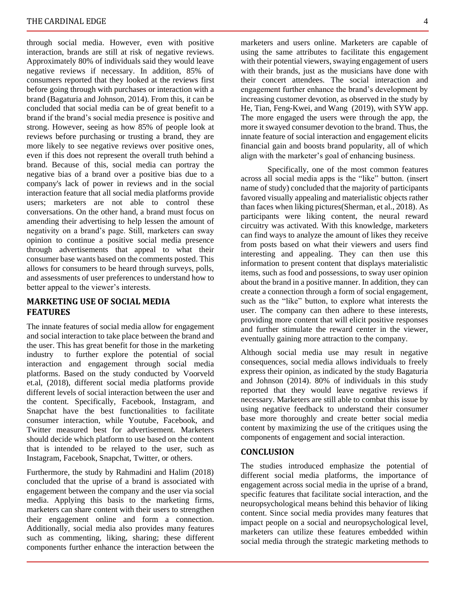through social media. However, even with positive interaction, brands are still at risk of negative reviews. Approximately 80% of individuals said they would leave negative reviews if necessary. In addition, 85% of consumers reported that they looked at the reviews first before going through with purchases or interaction with a brand (Bagaturia and Johnson, 2014). From this, it can be concluded that social media can be of great benefit to a brand if the brand's social media presence is positive and strong. However, seeing as how 85% of people look at reviews before purchasing or trusting a brand, they are more likely to see negative reviews over positive ones, even if this does not represent the overall truth behind a brand. Because of this, social media can portray the negative bias of a brand over a positive bias due to a company's lack of power in reviews and in the social interaction feature that all social media platforms provide users; marketers are not able to control these conversations. On the other hand, a brand must focus on amending their advertising to help lessen the amount of negativity on a brand's page. Still, marketers can sway opinion to continue a positive social media presence through advertisements that appeal to what their consumer base wants based on the comments posted. This allows for consumers to be heard through surveys, polls, and assessments of user preferences to understand how to better appeal to the viewer's interests.

### **MARKETING USE OF SOCIAL MEDIA FEATURES**

The innate features of social media allow for engagement and social interaction to take place between the brand and the user. This has great benefit for those in the marketing industry to further explore the potential of social interaction and engagement through social media platforms. Based on the study conducted by Voorveld et.al, (2018), different social media platforms provide different levels of social interaction between the user and the content. Specifically, Facebook, Instagram, and Snapchat have the best functionalities to facilitate consumer interaction, while Youtube, Facebook, and Twitter measured best for advertisement. Marketers should decide which platform to use based on the content that is intended to be relayed to the user, such as Instagram, Facebook, Snapchat, Twitter, or others.

Furthermore, the study by Rahmadini and Halim (2018) concluded that the uprise of a brand is associated with engagement between the company and the user via social media. Applying this basis to the marketing firms, marketers can share content with their users to strengthen their engagement online and form a connection. Additionally, social media also provides many features such as commenting, liking, sharing; these different components further enhance the interaction between the

marketers and users online. Marketers are capable of using the same attributes to facilitate this engagement with their potential viewers, swaying engagement of users with their brands, just as the musicians have done with their concert attendees. The social interaction and engagement further enhance the brand's development by increasing customer devotion, as observed in the study by He, Tian, Feng-Kwei, and Wang (2019), with SYW app. The more engaged the users were through the app, the more it swayed consumer devotion to the brand. Thus, the innate feature of social interaction and engagement elicits financial gain and boosts brand popularity, all of which align with the marketer's goal of enhancing business.

Specifically, one of the most common features across all social media apps is the "like" button. (insert name of study) concluded that the majority of participants favored visually appealing and materialistic objects rather than faces when liking pictures(Sherman, et al., 2018). As participants were liking content, the neural reward circuitry was activated. With this knowledge, marketers can find ways to analyze the amount of likes they receive from posts based on what their viewers and users find interesting and appealing. They can then use this information to present content that displays materialistic items, such as food and possessions, to sway user opinion about the brand in a positive manner. In addition, they can create a connection through a form of social engagement, such as the "like" button, to explore what interests the user. The company can then adhere to these interests, providing more content that will elicit positive responses and further stimulate the reward center in the viewer, eventually gaining more attraction to the company.

Although social media use may result in negative consequences, social media allows individuals to freely express their opinion, as indicated by the study Bagaturia and Johnson (2014). 80% of individuals in this study reported that they would leave negative reviews if necessary. Marketers are still able to combat this issue by using negative feedback to understand their consumer base more thoroughly and create better social media content by maximizing the use of the critiques using the components of engagement and social interaction.

#### **CONCLUSION**

The studies introduced emphasize the potential of different social media platforms, the importance of engagement across social media in the uprise of a brand, specific features that facilitate social interaction, and the neuropsychological means behind this behavior of liking content. Since social media provides many features that impact people on a social and neuropsychological level, marketers can utilize these features embedded within social media through the strategic marketing methods to